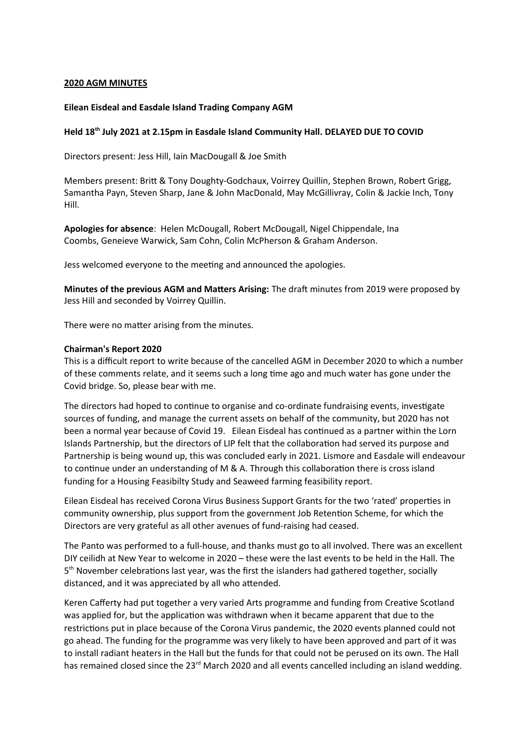### **2020 AGM MINUTES**

### **Eilean Eisdeal and Easdale Island Trading Company AGM**

## **Held 18th July 2021 at 2.15pm in Easdale Island Community Hall. DELAYED DUE TO COVID**

Directors present: Jess Hill, Iain MacDougall & Joe Smith

Members present: Britt & Tony Doughty-Godchaux, Voirrey Quillin, Stephen Brown, Robert Grigg, Samantha Payn, Steven Sharp, Jane & John MacDonald, May McGillivray, Colin & Jackie Inch, Tony Hill.

**Apologies for absence**: Helen McDougall, Robert McDougall, Nigel Chippendale, Ina Coombs, Geneieve Warwick, Sam Cohn, Colin McPherson & Graham Anderson.

Jess welcomed everyone to the meeting and announced the apologies.

**Minutes of the previous AGM and Matters Arising:** The draft minutes from 2019 were proposed by Jess Hill and seconded by Voirrey Quillin.

There were no matter arising from the minutes.

#### **Chairman's Report 2020**

This is a difficult report to write because of the cancelled AGM in December 2020 to which a number of these comments relate, and it seems such a long tme ago and much water has gone under the Covid bridge. So, please bear with me.

The directors had hoped to continue to organise and co-ordinate fundraising events, investigate sources of funding, and manage the current assets on behalf of the community, but 2020 has not been a normal year because of Covid 19. Eilean Eisdeal has contnued as a partner within the Lorn Islands Partnership, but the directors of LIP felt that the collaboraton had served its purpose and Partnership is being wound up, this was concluded early in 2021. Lismore and Easdale will endeavour to continue under an understanding of M & A. Through this collaboration there is cross island funding for a Housing Feasibilty Study and Seaweed farming feasibility report.

Eilean Eisdeal has received Corona Virus Business Support Grants for the two 'rated' propertes in community ownership, plus support from the government Job Retenton Scheme, for which the Directors are very grateful as all other avenues of fund-raising had ceased.

The Panto was performed to a full-house, and thanks must go to all involved. There was an excellent DIY ceilidh at New Year to welcome in 2020 – these were the last events to be held in the Hall. The 5<sup>th</sup> November celebrations last year, was the first the islanders had gathered together, socially distanced, and it was appreciated by all who atended.

Keren Caferty had put together a very varied Arts programme and funding from Creatve Scotland was applied for, but the applicaton was withdrawn when it became apparent that due to the restrictions put in place because of the Corona Virus pandemic, the 2020 events planned could not go ahead. The funding for the programme was very likely to have been approved and part of it was to install radiant heaters in the Hall but the funds for that could not be perused on its own. The Hall has remained closed since the 23<sup>rd</sup> March 2020 and all events cancelled including an island wedding.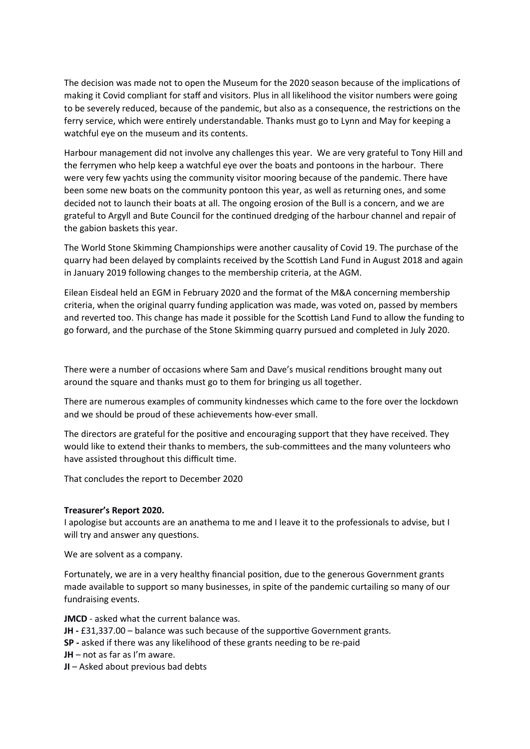The decision was made not to open the Museum for the 2020 season because of the implications of making it Covid compliant for staff and visitors. Plus in all likelihood the visitor numbers were going to be severely reduced, because of the pandemic, but also as a consequence, the restrictons on the ferry service, which were entirely understandable. Thanks must go to Lynn and May for keeping a watchful eye on the museum and its contents.

Harbour management did not involve any challenges this year. We are very grateful to Tony Hill and the ferrymen who help keep a watchful eye over the boats and pontoons in the harbour. There were very few yachts using the community visitor mooring because of the pandemic. There have been some new boats on the community pontoon this year, as well as returning ones, and some decided not to launch their boats at all. The ongoing erosion of the Bull is a concern, and we are grateful to Argyll and Bute Council for the contnued dredging of the harbour channel and repair of the gabion baskets this year.

The World Stone Skimming Championships were another causality of Covid 19. The purchase of the quarry had been delayed by complaints received by the Scottish Land Fund in August 2018 and again in January 2019 following changes to the membership criteria, at the AGM.

Eilean Eisdeal held an EGM in February 2020 and the format of the M&A concerning membership criteria, when the original quarry funding applicaton was made, was voted on, passed by members and reverted too. This change has made it possible for the Scottish Land Fund to allow the funding to go forward, and the purchase of the Stone Skimming quarry pursued and completed in July 2020.

 here were a number of occasions where Sam and Dave's musical renditons brought many out around the square and thanks must go to them for bringing us all together.

 here are numerous examples of community kindnesses which came to the fore over the lockdown and we should be proud of these achievements how-ever small.

The directors are grateful for the positive and encouraging support that they have received. They would like to extend their thanks to members, the sub-commitees and the many volunteers who have assisted throughout this difficult time.

That concludes the report to December 2020

### **Treasurer's Report 2020.**

I apologise but accounts are an anathema to me and I leave it to the professionals to advise, but I will try and answer any questions.

We are solvent as a company.

Fortunately, we are in a very healthy fnancial positon, due to the generous Government grants made available to support so many businesses, in spite of the pandemic curtailing so many of our fundraising events.

**JMCD** - asked what the current balance was.

- JH £31,337.00 balance was such because of the supportive Government grants.
- **SP** asked if there was any likelihood of these grants needing to be re-paid
- **JH**  not as far as I'm aware.
- **JI**  Asked about previous bad debts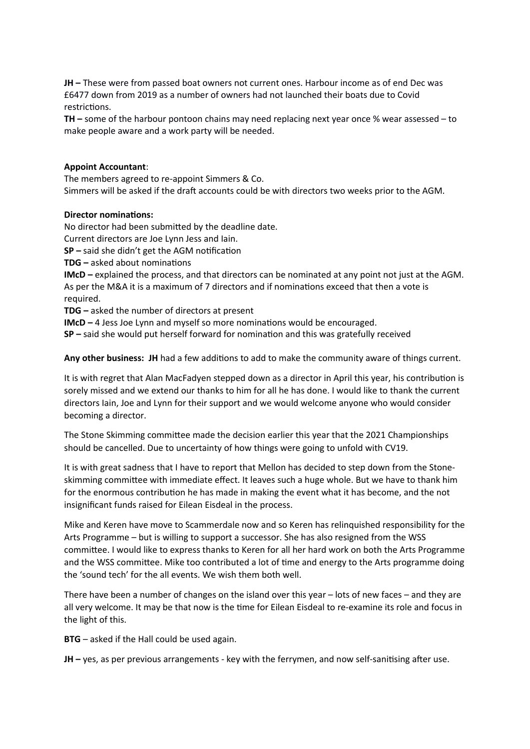**JH** – These were from passed boat owners not current ones. Harbour income as of end Dec was £6477 down from 2䋮019 as a number of owners had not launched their boats due to Covid restrictions.

**TH –** some of the harbour pontoon chains may need replacing next year once % wear assessed – to make people aware and a work party will be needed.

# **Appoint Accountant**:

The members agreed to re-appoint Simmers & Co. Simmers will be asked if the draft accounts could be with directors two weeks prior to the AGM.

# **Director nominations:**

No director had been submited by the deadline date.

Current directors are Joe Lynn Jess and Iain.

**SP** – said she didn't get the AGM notification

**TDG** – asked about nominations

**IMcD –** explained the process, and that directors can be nominated at any point not just at the AGM. As per the M&A it is a maximum of 7 directors and if nominatons exceed that then a vote is required.

**TDG –** asked the number of directors at present

**IMcD – 4 Jess Joe Lynn and myself so more nominations would be encouraged.** 

**SP –** said she would put herself forward for nominaton and this was gratefully received

**Any other business: JH** had a few additons to add to make the community aware of things current.

It is with regret that Alan MacFadyen stepped down as a director in April this year, his contributon is sorely missed and we extend our thanks to him for all he has done. I would like to thank the current directors Iain, Joe and Lynn for their support and we would welcome anyone who would consider becoming a director.

The Stone Skimming committee made the decision earlier this year that the 2021 Championships should be cancelled. Due to uncertainty of how things were going to unfold with CV19.

It is with great sadness that I have to report that Mellon has decided to step down from the Stoneskimming committee with immediate effect. It leaves such a huge whole. But we have to thank him for the enormous contribution he has made in making the event what it has become, and the not insignifcant funds raised for Eilean Eisdeal in the process.

Mike and Keren have move to Scammerdale now and so Keren has relinquished responsibility for the Arts Programme – but is willing to support a successor. She has also resigned from the WSS commitee. I would like to express thanks to Keren for all her hard work on both the Arts Programme and the WSS commitee. Mike too contributed a lot of tme and energy to the Arts programme doing the 'sound tech' for the all events. We wish them both well.

 here have been a number of changes on the island over this year – lots of new faces – and they are all very welcome. It may be that now is the time for Eilean Eisdeal to re-examine its role and focus in the light of this.

**BTG** – asked if the Hall could be used again.

**JH –** yes, as per previous arrangements - key with the ferrymen, and now self-sanitsing afer use.